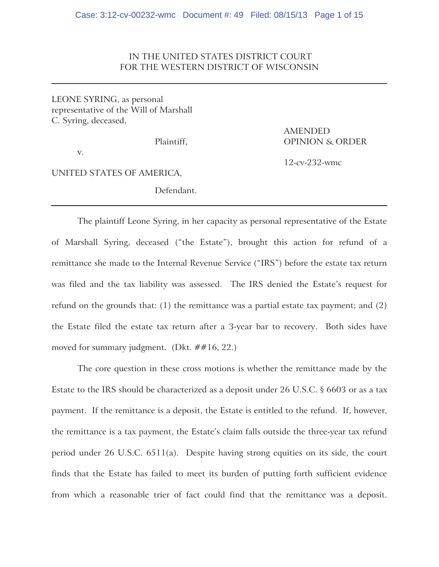# IN THE UNITED STATES DISTRICT COURT FOR THE WESTERN DISTRICT OF WISCONSIN

LEONE SYRING, as personal representative of the Will of Marshall C. Syring, deceased,

v.

UNITED STATES OF AMERICA,

Defendant.

AMENDED Plaintiff, OPINION & ORDER

12-cv-232-wmc

The plaintiff Leone Syring, in her capacity as personal representative of the Estate of Marshall Syring, deceased ("the Estate"), brought this action for refund of a remittance she made to the Internal Revenue Service ("IRS") before the estate tax return was filed and the tax liability was assessed. The IRS denied the Estate's request for refund on the grounds that: (1) the remittance was a partial estate tax payment; and (2) the Estate filed the estate tax return after a 3-year bar to recovery. Both sides have moved for summary judgment. (Dkt. ##16, 22.)

The core question in these cross motions is whether the remittance made by the Estate to the IRS should be characterized as a deposit under 26 U.S.C. § 6603 or as a tax payment. If the remittance is a deposit, the Estate is entitled to the refund. If, however, the remittance is a tax payment, the Estate's claim falls outside the three-year tax refund period under 26 U.S.C. 6511(a). Despite having strong equities on its side, the court finds that the Estate has failed to meet its burden of putting forth sufficient evidence from which a reasonable trier of fact could find that the remittance was a deposit.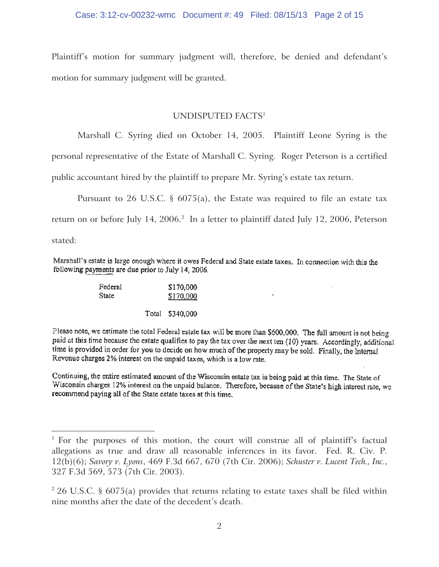Plaintiff's motion for summary judgment will, therefore, be denied and defendant's motion for summary judgment will be granted.

# UNDISPUTED FACTS1

Marshall C. Syring died on October 14, 2005. Plaintiff Leone Syring is the

personal representative of the Estate of Marshall C. Syring. Roger Peterson is a certified

public accountant hired by the plaintiff to prepare Mr. Syring's estate tax return.

Pursuant to 26 U.S.C. § 6075(a), the Estate was required to file an estate tax return on or before July 14, 2006. $^2$  In a letter to plaintiff dated July 12, 2006, Peterson

stated:

 $\overline{a}$ 

Marshall's estate is large enough where it owes Federal and State estate taxes. In connection with this the following payments are due prior to July 14, 2006.

| Federal | \$170,000 |
|---------|-----------|
| State   | \$170,000 |

Total \$340,000

Please note, we estimate the total Federal estate tax will be more than \$600,000. The full amount is not being paid at this time because the estate qualifies to pay the tax over the next ten (10) years. Accordingly, additional time is provided in order for you to decide on how much of the property may be sold. Finally, the Internal Revenue charges 2% interest on the unpaid taxes, which is a low rate.

¥

Continuing, the entire estimated amount of the Wisconsin estate tax is being paid at this time. The State of Wisconsin charges 12% interest on the unpaid balance. Therefore, because of the State's high interest rate, we recommend paying all of the State estate taxes at this time.

<sup>&</sup>lt;sup>1</sup> For the purposes of this motion, the court will construe all of plaintiff's factual allegations as true and draw all reasonable inferences in its favor. Fed. R. Civ. P. 12(b)(6); *Savory v. Lyons*, 469 F.3d 667, 670 (7th Cir. 2006); *Schuster v. Lucent Tech., Inc.*, 327 F.3d 569, 573 (7th Cir. 2003).

 $226$  U.S.C. § 6075(a) provides that returns relating to estate taxes shall be filed within nine months after the date of the decedent's death.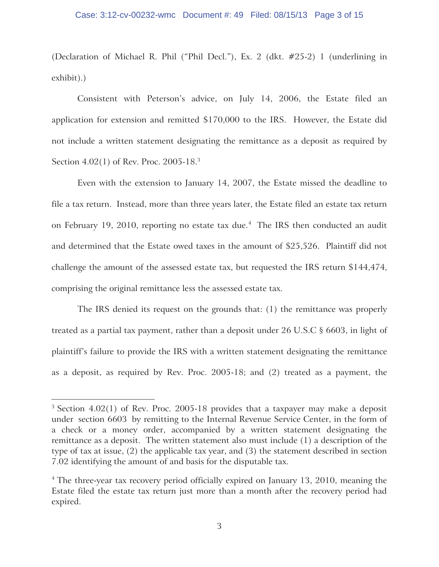### Case: 3:12-cv-00232-wmc Document #: 49 Filed: 08/15/13 Page 3 of 15

(Declaration of Michael R. Phil ("Phil Decl."), Ex. 2 (dkt. #25-2) 1 (underlining in exhibit).)

Consistent with Peterson's advice, on July 14, 2006, the Estate filed an application for extension and remitted \$170,000 to the IRS. However, the Estate did not include a written statement designating the remittance as a deposit as required by Section 4.02(1) of Rev. Proc. 2005-18.<sup>3</sup>

Even with the extension to January 14, 2007, the Estate missed the deadline to file a tax return. Instead, more than three years later, the Estate filed an estate tax return on February 19, 2010, reporting no estate tax due.<sup>4</sup> The IRS then conducted an audit and determined that the Estate owed taxes in the amount of \$25,526. Plaintiff did not challenge the amount of the assessed estate tax, but requested the IRS return \$144,474, comprising the original remittance less the assessed estate tax.

The IRS denied its request on the grounds that: (1) the remittance was properly treated as a partial tax payment, rather than a deposit under 26 U.S.C § 6603, in light of plaintiff's failure to provide the IRS with a written statement designating the remittance as a deposit, as required by Rev. Proc. 2005-18; and (2) treated as a payment, the

 $\overline{a}$ 

<sup>&</sup>lt;sup>3</sup> Section 4.02(1) of Rev. Proc. 2005-18 provides that a taxpayer may make a deposit under section 6603 by remitting to the Internal Revenue Service Center, in the form of a check or a money order, accompanied by a written statement designating the remittance as a deposit. The written statement also must include (1) a description of the type of tax at issue, (2) the applicable tax year, and (3) the statement described in section 7.02 identifying the amount of and basis for the disputable tax.

<sup>&</sup>lt;sup>4</sup> The three-year tax recovery period officially expired on January 13, 2010, meaning the Estate filed the estate tax return just more than a month after the recovery period had expired.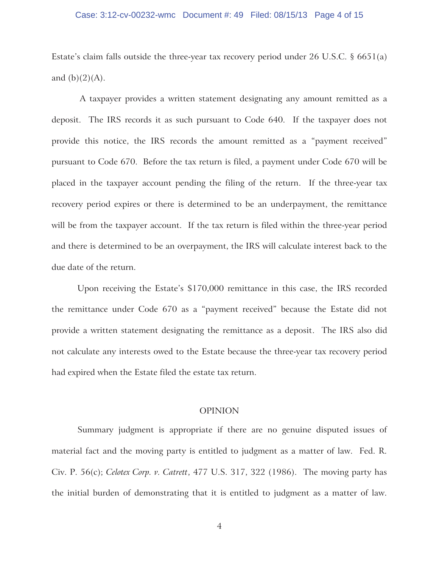#### Case: 3:12-cv-00232-wmc Document #: 49 Filed: 08/15/13 Page 4 of 15

Estate's claim falls outside the three-year tax recovery period under 26 U.S.C. § 6651(a) and  $(b)(2)(A)$ .

 A taxpayer provides a written statement designating any amount remitted as a deposit. The IRS records it as such pursuant to Code 640. If the taxpayer does not provide this notice, the IRS records the amount remitted as a "payment received" pursuant to Code 670. Before the tax return is filed, a payment under Code 670 will be placed in the taxpayer account pending the filing of the return. If the three-year tax recovery period expires or there is determined to be an underpayment, the remittance will be from the taxpayer account. If the tax return is filed within the three-year period and there is determined to be an overpayment, the IRS will calculate interest back to the due date of the return.

Upon receiving the Estate's \$170,000 remittance in this case, the IRS recorded the remittance under Code 670 as a "payment received" because the Estate did not provide a written statement designating the remittance as a deposit. The IRS also did not calculate any interests owed to the Estate because the three-year tax recovery period had expired when the Estate filed the estate tax return.

### OPINION

Summary judgment is appropriate if there are no genuine disputed issues of material fact and the moving party is entitled to judgment as a matter of law. Fed. R. Civ. P. 56(c); *Celotex Corp. v. Catrett*, 477 U.S. 317, 322 (1986). The moving party has the initial burden of demonstrating that it is entitled to judgment as a matter of law.

4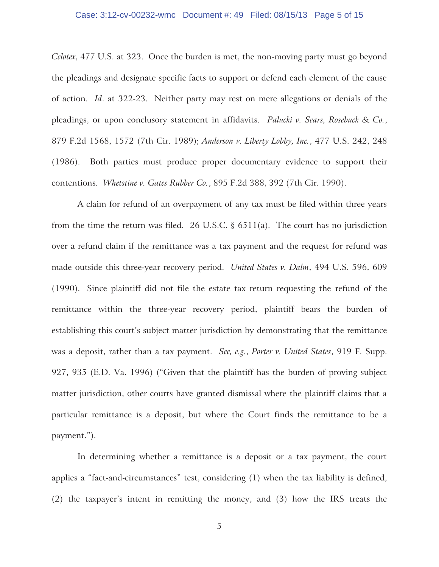#### Case: 3:12-cv-00232-wmc Document #: 49 Filed: 08/15/13 Page 5 of 15

*Celotex*, 477 U.S. at 323. Once the burden is met, the non-moving party must go beyond the pleadings and designate specific facts to support or defend each element of the cause of action. *Id*. at 322-23. Neither party may rest on mere allegations or denials of the pleadings, or upon conclusory statement in affidavits. *Palucki v. Sears, Rosebuck & Co.*, 879 F.2d 1568, 1572 (7th Cir. 1989); *Anderson v. Liberty Lobby, Inc.*, 477 U.S. 242, 248 (1986). Both parties must produce proper documentary evidence to support their contentions. *Whetstine v. Gates Rubber Co.*, 895 F.2d 388, 392 (7th Cir. 1990).

A claim for refund of an overpayment of any tax must be filed within three years from the time the return was filed. 26 U.S.C.  $\S$  6511(a). The court has no jurisdiction over a refund claim if the remittance was a tax payment and the request for refund was made outside this three-year recovery period. *United States v. Dalm*, 494 U.S. 596, 609 (1990).Since plaintiff did not file the estate tax return requesting the refund of the remittance within the three-year recovery period, plaintiff bears the burden of establishing this court's subject matter jurisdiction by demonstrating that the remittance was a deposit, rather than a tax payment. *See, e.g.*, *Porter v. United States*, 919 F. Supp. 927, 935 (E.D. Va. 1996) ("Given that the plaintiff has the burden of proving subject matter jurisdiction, other courts have granted dismissal where the plaintiff claims that a particular remittance is a deposit, but where the Court finds the remittance to be a payment.").

In determining whether a remittance is a deposit or a tax payment, the court applies a "fact-and-circumstances" test, considering (1) when the tax liability is defined, (2) the taxpayer's intent in remitting the money, and (3) how the IRS treats the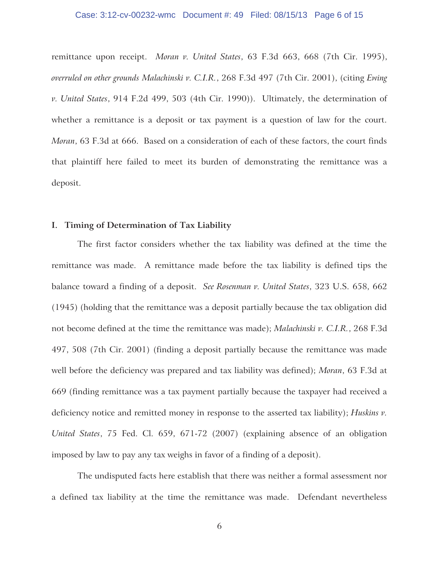#### Case: 3:12-cv-00232-wmc Document #: 49 Filed: 08/15/13 Page 6 of 15

remittance upon receipt. *Moran v. United States*, 63 F.3d 663, 668 (7th Cir. 1995), *overruled on other grounds Malachinski v. C.I.R.*, 268 F.3d 497 (7th Cir. 2001), (citing *Ewing v. United States*, 914 F.2d 499, 503 (4th Cir. 1990)). Ultimately, the determination of whether a remittance is a deposit or tax payment is a question of law for the court. *Moran*, 63 F.3d at 666. Based on a consideration of each of these factors, the court finds that plaintiff here failed to meet its burden of demonstrating the remittance was a deposit.

### **I. Timing of Determination of Tax Liability**

The first factor considers whether the tax liability was defined at the time the remittance was made. A remittance made before the tax liability is defined tips the balance toward a finding of a deposit. *See Rosenman v. United States*, 323 U.S. 658, 662 (1945) (holding that the remittance was a deposit partially because the tax obligation did not become defined at the time the remittance was made); *Malachinski v. C.I.R.*, 268 F.3d 497, 508 (7th Cir. 2001) (finding a deposit partially because the remittance was made well before the deficiency was prepared and tax liability was defined); *Moran*, 63 F.3d at 669 (finding remittance was a tax payment partially because the taxpayer had received a deficiency notice and remitted money in response to the asserted tax liability); *Huskins v. United States*, 75 Fed. Cl. 659, 671-72 (2007) (explaining absence of an obligation imposed by law to pay any tax weighs in favor of a finding of a deposit).

The undisputed facts here establish that there was neither a formal assessment nor a defined tax liability at the time the remittance was made. Defendant nevertheless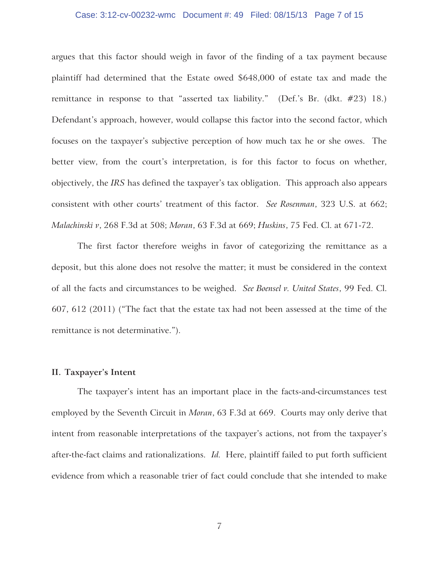#### Case: 3:12-cv-00232-wmc Document #: 49 Filed: 08/15/13 Page 7 of 15

argues that this factor should weigh in favor of the finding of a tax payment because plaintiff had determined that the Estate owed \$648,000 of estate tax and made the remittance in response to that "asserted tax liability." (Def.'s Br. (dkt. #23) 18.) Defendant's approach, however, would collapse this factor into the second factor, which focuses on the taxpayer's subjective perception of how much tax he or she owes. The better view, from the court's interpretation, is for this factor to focus on whether, objectively, the *IRS* has defined the taxpayer's tax obligation. This approach also appears consistent with other courts' treatment of this factor. *See Rosenman*, 323 U.S. at 662; *Malachinski v*, 268 F.3d at 508; *Moran*, 63 F.3d at 669; *Huskins*, 75 Fed. Cl. at 671-72.

The first factor therefore weighs in favor of categorizing the remittance as a deposit, but this alone does not resolve the matter; it must be considered in the context of all the facts and circumstances to be weighed. *See Boensel v. United States*, 99 Fed. Cl. 607, 612 (2011) ("The fact that the estate tax had not been assessed at the time of the remittance is not determinative.").

#### **II. Taxpayer's Intent**

The taxpayer's intent has an important place in the facts-and-circumstances test employed by the Seventh Circuit in *Moran*, 63 F.3d at 669. Courts may only derive that intent from reasonable interpretations of the taxpayer's actions, not from the taxpayer's after-the-fact claims and rationalizations. *Id.* Here, plaintiff failed to put forth sufficient evidence from which a reasonable trier of fact could conclude that she intended to make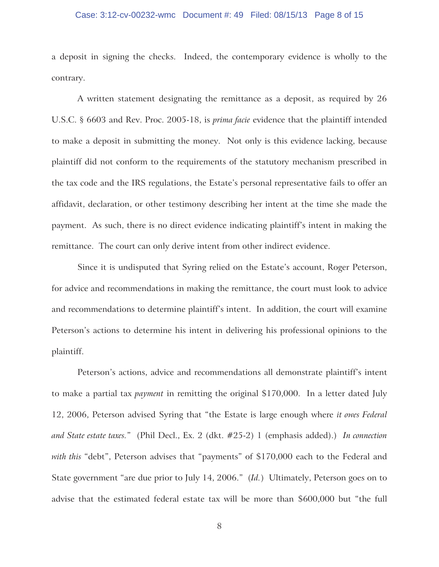#### Case: 3:12-cv-00232-wmc Document #: 49 Filed: 08/15/13 Page 8 of 15

a deposit in signing the checks. Indeed, the contemporary evidence is wholly to the contrary.

A written statement designating the remittance as a deposit, as required by 26 U.S.C. § 6603 and Rev. Proc. 2005-18, is *prima facie* evidence that the plaintiff intended to make a deposit in submitting the money. Not only is this evidence lacking, because plaintiff did not conform to the requirements of the statutory mechanism prescribed in the tax code and the IRS regulations, the Estate's personal representative fails to offer an affidavit, declaration, or other testimony describing her intent at the time she made the payment. As such, there is no direct evidence indicating plaintiff's intent in making the remittance. The court can only derive intent from other indirect evidence.

Since it is undisputed that Syring relied on the Estate's account, Roger Peterson, for advice and recommendations in making the remittance, the court must look to advice and recommendations to determine plaintiff's intent. In addition, the court will examine Peterson's actions to determine his intent in delivering his professional opinions to the plaintiff.

Peterson's actions, advice and recommendations all demonstrate plaintiff's intent to make a partial tax *payment* in remitting the original \$170,000. In a letter dated July 12, 2006, Peterson advised Syring that "the Estate is large enough where *it owes Federal and State estate taxes.*" (Phil Decl., Ex. 2 (dkt. #25-2) 1 (emphasis added).) *In connection with this* "debt", Peterson advises that "payments" of \$170,000 each to the Federal and State government "are due prior to July 14, 2006." (*Id.*) Ultimately, Peterson goes on to advise that the estimated federal estate tax will be more than \$600,000 but "the full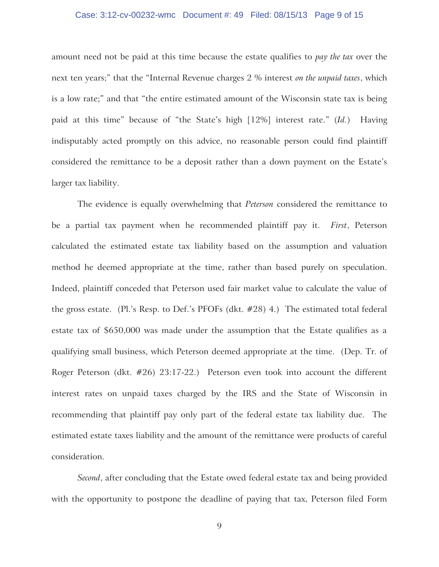#### Case: 3:12-cv-00232-wmc Document #: 49 Filed: 08/15/13 Page 9 of 15

amount need not be paid at this time because the estate qualifies to *pay the tax* over the next ten years;" that the "Internal Revenue charges 2 % interest *on the unpaid taxes*, which is a low rate;" and that "the entire estimated amount of the Wisconsin state tax is being paid at this time" because of "the State's high [12%] interest rate." (*Id.*) Having indisputably acted promptly on this advice, no reasonable person could find plaintiff considered the remittance to be a deposit rather than a down payment on the Estate's larger tax liability.

The evidence is equally overwhelming that *Peterson* considered the remittance to be a partial tax payment when he recommended plaintiff pay it. *First*, Peterson calculated the estimated estate tax liability based on the assumption and valuation method he deemed appropriate at the time, rather than based purely on speculation. Indeed, plaintiff conceded that Peterson used fair market value to calculate the value of the gross estate. (Pl.'s Resp. to Def.'s PFOFs (dkt. #28) 4.) The estimated total federal estate tax of \$650,000 was made under the assumption that the Estate qualifies as a qualifying small business, which Peterson deemed appropriate at the time. (Dep. Tr. of Roger Peterson (dkt. #26) 23:17-22.) Peterson even took into account the different interest rates on unpaid taxes charged by the IRS and the State of Wisconsin in recommending that plaintiff pay only part of the federal estate tax liability due. The estimated estate taxes liability and the amount of the remittance were products of careful consideration.

*Second*, after concluding that the Estate owed federal estate tax and being provided with the opportunity to postpone the deadline of paying that tax, Peterson filed Form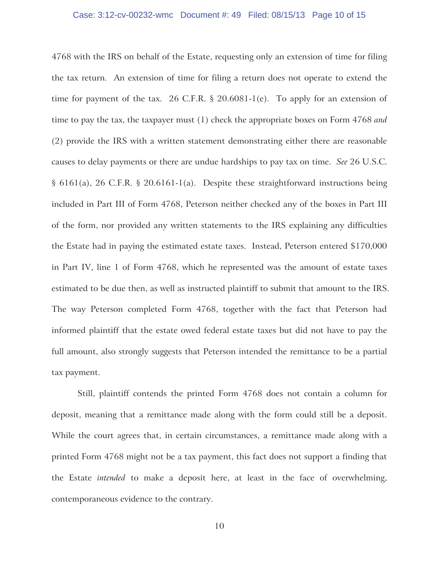#### Case: 3:12-cv-00232-wmc Document #: 49 Filed: 08/15/13 Page 10 of 15

4768 with the IRS on behalf of the Estate, requesting only an extension of time for filing the tax return. An extension of time for filing a return does not operate to extend the time for payment of the tax. 26 C.F.R.  $\S$  20.6081-1(e). To apply for an extension of time to pay the tax, the taxpayer must (1) check the appropriate boxes on Form 4768 *and* (2) provide the IRS with a written statement demonstrating either there are reasonable causes to delay payments or there are undue hardships to pay tax on time. *See* 26 U.S.C. § 6161(a), 26 C.F.R. § 20.6161-1(a). Despite these straightforward instructions being included in Part III of Form 4768, Peterson neither checked any of the boxes in Part III of the form, nor provided any written statements to the IRS explaining any difficulties the Estate had in paying the estimated estate taxes. Instead, Peterson entered \$170,000 in Part IV, line 1 of Form 4768, which he represented was the amount of estate taxes estimated to be due then, as well as instructed plaintiff to submit that amount to the IRS. The way Peterson completed Form 4768, together with the fact that Peterson had informed plaintiff that the estate owed federal estate taxes but did not have to pay the full amount, also strongly suggests that Peterson intended the remittance to be a partial tax payment.

Still, plaintiff contends the printed Form 4768 does not contain a column for deposit, meaning that a remittance made along with the form could still be a deposit. While the court agrees that, in certain circumstances, a remittance made along with a printed Form 4768 might not be a tax payment, this fact does not support a finding that the Estate *intended* to make a deposit here, at least in the face of overwhelming, contemporaneous evidence to the contrary.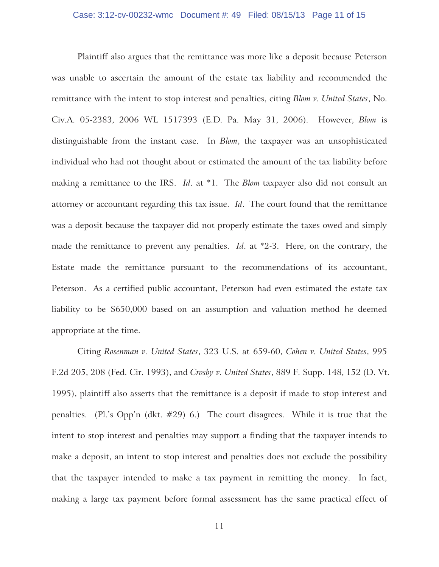#### Case: 3:12-cv-00232-wmc Document #: 49 Filed: 08/15/13 Page 11 of 15

Plaintiff also argues that the remittance was more like a deposit because Peterson was unable to ascertain the amount of the estate tax liability and recommended the remittance with the intent to stop interest and penalties, citing *Blom v. United States*, No. Civ.A. 05-2383, 2006 WL 1517393 (E.D. Pa. May 31, 2006). However, *Blom* is distinguishable from the instant case. In *Blom*, the taxpayer was an unsophisticated individual who had not thought about or estimated the amount of the tax liability before making a remittance to the IRS. *Id*. at \*1. The *Blom* taxpayer also did not consult an attorney or accountant regarding this tax issue. *Id*.The court found that the remittance was a deposit because the taxpayer did not properly estimate the taxes owed and simply made the remittance to prevent any penalties. *Id*. at \*2-3. Here, on the contrary, the Estate made the remittance pursuant to the recommendations of its accountant, Peterson. As a certified public accountant, Peterson had even estimated the estate tax liability to be \$650,000 based on an assumption and valuation method he deemed appropriate at the time.

Citing *Rosenman v. United States*, 323 U.S. at 659-60, *Cohen v. United States*, 995 F.2d 205, 208 (Fed. Cir. 1993), and *Crosby v. United States*, 889 F. Supp. 148, 152 (D. Vt. 1995), plaintiff also asserts that the remittance is a deposit if made to stop interest and penalties. (Pl.'s Opp'n (dkt. #29) 6.) The court disagrees. While it is true that the intent to stop interest and penalties may support a finding that the taxpayer intends to make a deposit, an intent to stop interest and penalties does not exclude the possibility that the taxpayer intended to make a tax payment in remitting the money. In fact, making a large tax payment before formal assessment has the same practical effect of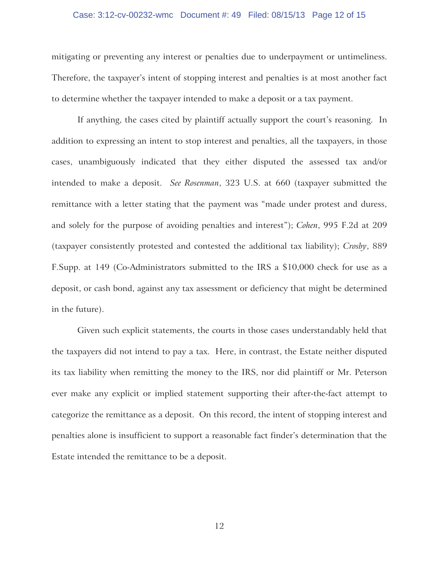#### Case: 3:12-cv-00232-wmc Document #: 49 Filed: 08/15/13 Page 12 of 15

mitigating or preventing any interest or penalties due to underpayment or untimeliness. Therefore, the taxpayer's intent of stopping interest and penalties is at most another fact to determine whether the taxpayer intended to make a deposit or a tax payment.

If anything, the cases cited by plaintiff actually support the court's reasoning. In addition to expressing an intent to stop interest and penalties, all the taxpayers, in those cases, unambiguously indicated that they either disputed the assessed tax and/or intended to make a deposit. *See Rosenman*, 323 U.S. at 660 (taxpayer submitted the remittance with a letter stating that the payment was "made under protest and duress, and solely for the purpose of avoiding penalties and interest"); *Cohen*, 995 F.2d at 209 (taxpayer consistently protested and contested the additional tax liability); *Crosby*, 889 F.Supp. at 149 (Co-Administrators submitted to the IRS a \$10,000 check for use as a deposit, or cash bond, against any tax assessment or deficiency that might be determined in the future).

Given such explicit statements, the courts in those cases understandably held that the taxpayers did not intend to pay a tax. Here, in contrast, the Estate neither disputed its tax liability when remitting the money to the IRS, nor did plaintiff or Mr. Peterson ever make any explicit or implied statement supporting their after-the-fact attempt to categorize the remittance as a deposit. On this record, the intent of stopping interest and penalties alone is insufficient to support a reasonable fact finder's determination that the Estate intended the remittance to be a deposit.

12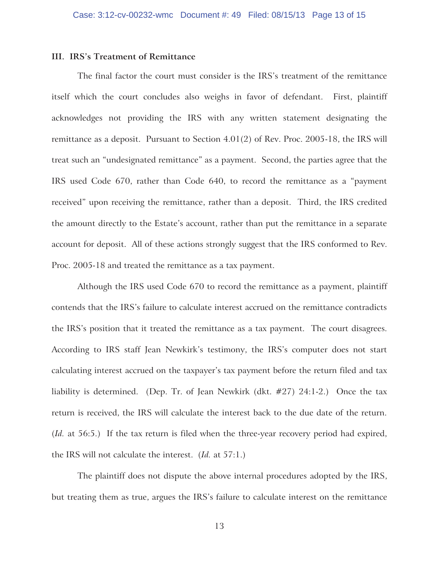## **III. IRS's Treatment of Remittance**

The final factor the court must consider is the IRS's treatment of the remittance itself which the court concludes also weighs in favor of defendant. First, plaintiff acknowledges not providing the IRS with any written statement designating the remittance as a deposit. Pursuant to Section  $4.01(2)$  of Rev. Proc. 2005-18, the IRS will treat such an "undesignated remittance" as a payment. Second, the parties agree that the IRS used Code 670, rather than Code 640, to record the remittance as a "payment received" upon receiving the remittance, rather than a deposit. Third, the IRS credited the amount directly to the Estate's account, rather than put the remittance in a separate account for deposit. All of these actions strongly suggest that the IRS conformed to Rev. Proc. 2005-18 and treated the remittance as a tax payment.

Although the IRS used Code 670 to record the remittance as a payment, plaintiff contends that the IRS's failure to calculate interest accrued on the remittance contradicts the IRS's position that it treated the remittance as a tax payment. The court disagrees. According to IRS staff Jean Newkirk's testimony, the IRS's computer does not start calculating interest accrued on the taxpayer's tax payment before the return filed and tax liability is determined. (Dep. Tr. of Jean Newkirk (dkt. #27) 24:1-2.) Once the tax return is received, the IRS will calculate the interest back to the due date of the return. (*Id.* at 56:5.) If the tax return is filed when the three-year recovery period had expired, the IRS will not calculate the interest. (*Id.* at 57:1.)

The plaintiff does not dispute the above internal procedures adopted by the IRS, but treating them as true, argues the IRS's failure to calculate interest on the remittance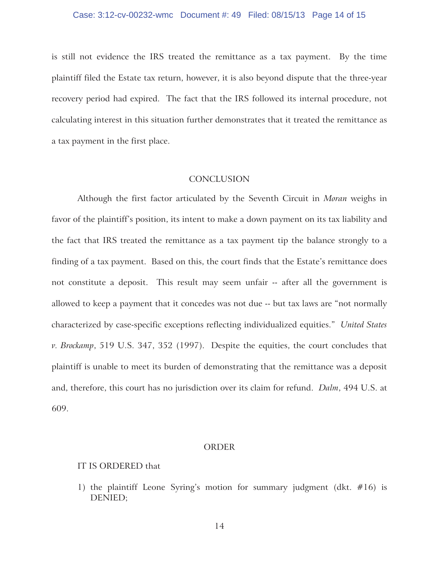is still not evidence the IRS treated the remittance as a tax payment. By the time plaintiff filed the Estate tax return, however, it is also beyond dispute that the three-year recovery period had expired. The fact that the IRS followed its internal procedure, not calculating interest in this situation further demonstrates that it treated the remittance as a tax payment in the first place.

## **CONCLUSION**

Although the first factor articulated by the Seventh Circuit in *Moran* weighs in favor of the plaintiff's position, its intent to make a down payment on its tax liability and the fact that IRS treated the remittance as a tax payment tip the balance strongly to a finding of a tax payment. Based on this, the court finds that the Estate's remittance does not constitute a deposit. This result may seem unfair -- after all the government is allowed to keep a payment that it concedes was not due -- but tax laws are "not normally characterized by case-specific exceptions reflecting individualized equities." *United States v. Brockamp*, 519 U.S. 347, 352 (1997). Despite the equities, the court concludes that plaintiff is unable to meet its burden of demonstrating that the remittance was a deposit and, therefore, this court has no jurisdiction over its claim for refund. *Dalm*, 494 U.S. at 609.

### ORDER

### IT IS ORDERED that

1) the plaintiff Leone Syring's motion for summary judgment (dkt. #16) is DENIED;